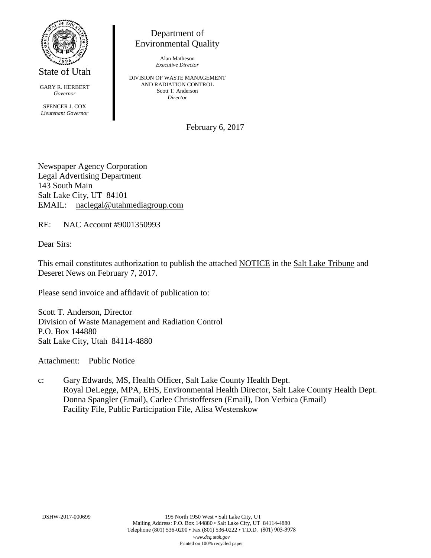

State of Utah

GARY R. HERBERT *Governor* SPENCER J. COX *Lieutenant Governor*

Department of Environmental Quality

> Alan Matheson *Executive Director*

DIVISION OF WASTE MANAGEMENT AND RADIATION CONTROL Scott T. Anderson *Director*

February 6, 2017

Newspaper Agency Corporation Legal Advertising Department 143 South Main Salt Lake City, UT 84101 EMAIL: naclegal@utahmediagroup.com

RE: NAC Account #9001350993

Dear Sirs:

This email constitutes authorization to publish the attached NOTICE in the Salt Lake Tribune and Deseret News on February 7, 2017.

Please send invoice and affidavit of publication to:

Scott T. Anderson, Director Division of Waste Management and Radiation Control P.O. Box 144880 Salt Lake City, Utah 84114-4880

Attachment: Public Notice

c: Gary Edwards, MS, Health Officer, Salt Lake County Health Dept. Royal DeLegge, MPA, EHS, Environmental Health Director, Salt Lake County Health Dept. Donna Spangler (Email), Carlee Christoffersen (Email), Don Verbica (Email) Facility File, Public Participation File, Alisa Westenskow